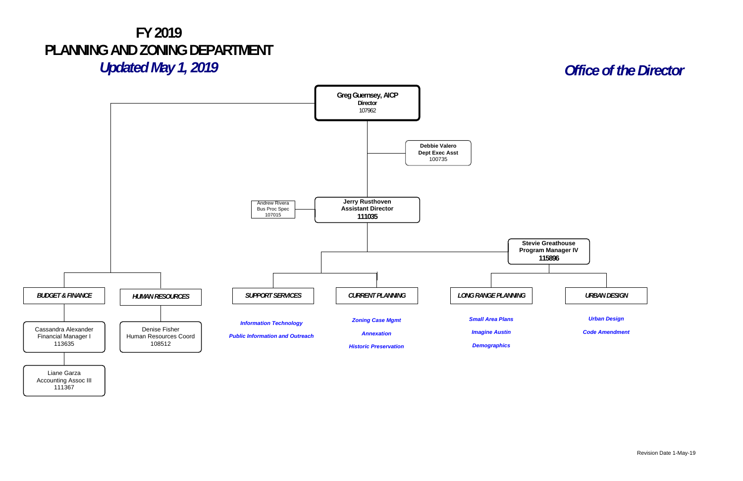Revision Date 1-May-19



## **FY 2019 PLANNING AND ZONING DEPARTMENT**

*Updated May 1, 2019*

111367

## *Office of the Director*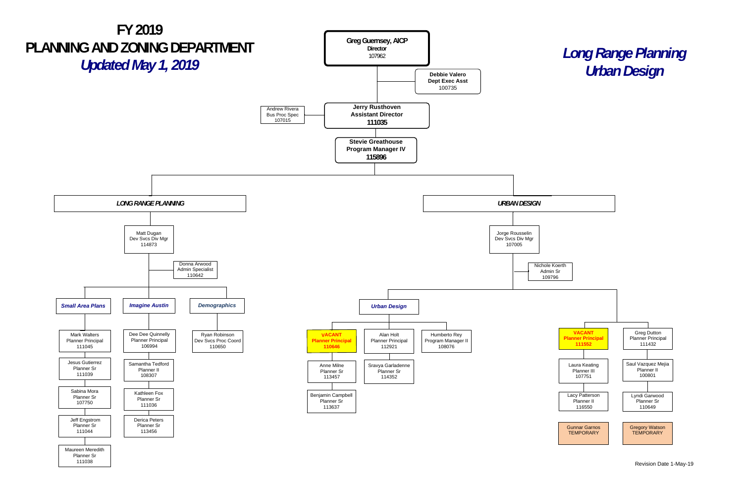## *Long Range Planning*